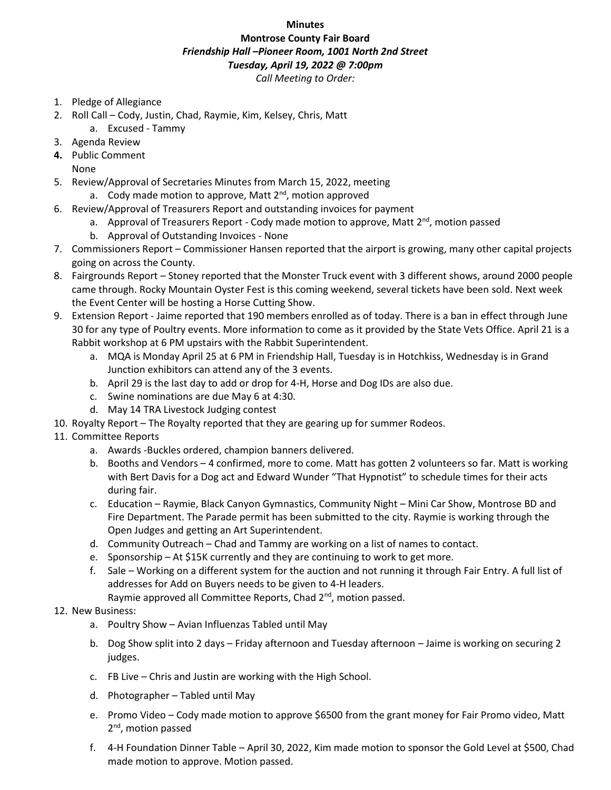## **Minutes**

## **Montrose County Fair Board** *Friendship Hall –Pioneer Room, 1001 North 2nd Street Tuesday, April 19, 2022 @ 7:00pm*

*Call Meeting to Order:*

- 1. Pledge of Allegiance
- 2. Roll Call Cody, Justin, Chad, Raymie, Kim, Kelsey, Chris, Matt
- a. Excused Tammy
- 3. Agenda Review
- **4.** Public Comment None
- 5. Review/Approval of Secretaries Minutes from March 15, 2022, meeting a. Cody made motion to approve, Matt  $2^{nd}$ , motion approved
- 6. Review/Approval of Treasurers Report and outstanding invoices for payment
	- a. Approval of Treasurers Report Cody made motion to approve, Matt  $2^{nd}$ , motion passed
	- b. Approval of Outstanding Invoices None
- 7. Commissioners Report Commissioner Hansen reported that the airport is growing, many other capital projects going on across the County.
- 8. Fairgrounds Report Stoney reported that the Monster Truck event with 3 different shows, around 2000 people came through. Rocky Mountain Oyster Fest is this coming weekend, several tickets have been sold. Next week the Event Center will be hosting a Horse Cutting Show.
- 9. Extension Report Jaime reported that 190 members enrolled as of today. There is a ban in effect through June 30 for any type of Poultry events. More information to come as it provided by the State Vets Office. April 21 is a Rabbit workshop at 6 PM upstairs with the Rabbit Superintendent.
	- a. MQA is Monday April 25 at 6 PM in Friendship Hall, Tuesday is in Hotchkiss, Wednesday is in Grand Junction exhibitors can attend any of the 3 events.
	- b. April 29 is the last day to add or drop for 4-H, Horse and Dog IDs are also due.
	- c. Swine nominations are due May 6 at 4:30.
	- d. May 14 TRA Livestock Judging contest
- 10. Royalty Report The Royalty reported that they are gearing up for summer Rodeos.
- 11. Committee Reports
	- a. Awards -Buckles ordered, champion banners delivered.
	- b. Booths and Vendors 4 confirmed, more to come. Matt has gotten 2 volunteers so far. Matt is working with Bert Davis for a Dog act and Edward Wunder "That Hypnotist" to schedule times for their acts during fair.
	- c. Education Raymie, Black Canyon Gymnastics, Community Night Mini Car Show, Montrose BD and Fire Department. The Parade permit has been submitted to the city. Raymie is working through the Open Judges and getting an Art Superintendent.
	- d. Community Outreach Chad and Tammy are working on a list of names to contact.
	- e. Sponsorship At \$15K currently and they are continuing to work to get more.
	- f. Sale Working on a different system for the auction and not running it through Fair Entry. A full list of addresses for Add on Buyers needs to be given to 4-H leaders. Raymie approved all Committee Reports, Chad 2<sup>nd</sup>, motion passed.

## 12. New Business:

- a. Poultry Show Avian Influenzas Tabled until May
- b. Dog Show split into 2 days Friday afternoon and Tuesday afternoon Jaime is working on securing 2 judges.
- c. FB Live Chris and Justin are working with the High School.
- d. Photographer Tabled until May
- e. Promo Video Cody made motion to approve \$6500 from the grant money for Fair Promo video, Matt 2<sup>nd</sup>, motion passed
- f. 4-H Foundation Dinner Table April 30, 2022, Kim made motion to sponsor the Gold Level at \$500, Chad made motion to approve. Motion passed.